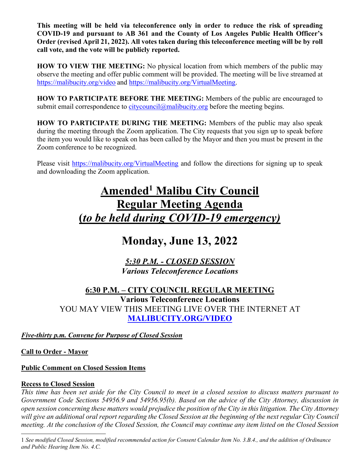**This meeting will be held via teleconference only in order to reduce the risk of spreading COVID-19 and pursuant to AB 361 and the County of Los Angeles Public Health Officer's Order (revised April 21, 2022). All votes taken during this teleconference meeting will be by roll call vote, and the vote will be publicly reported.** 

**HOW TO VIEW THE MEETING:** No physical location from which members of the public may observe the meeting and offer public comment will be provided. The meeting will be live streamed at https://malibucity.org/video and https://malibucity.org/VirtualMeeting.

**HOW TO PARTICIPATE BEFORE THE MEETING:** Members of the public are encouraged to submit email correspondence to citycouncil@malibucity.org before the meeting begins.

**HOW TO PARTICIPATE DURING THE MEETING:** Members of the public may also speak during the meeting through the Zoom application. The City requests that you sign up to speak before the item you would like to speak on has been called by the Mayor and then you must be present in the Zoom conference to be recognized.

Please visit https://malibucity.org/VirtualMeeting and follow the directions for signing up to speak and downloading the Zoom application.

# **Amended1 Malibu City Council Regular Meeting Agenda (***to be held during COVID-19 emergency)*

## **Monday, June 13, 2022**

*5:30 P.M. - CLOSED SESSION Various Teleconference Locations*

**6:30 P.M. – CITY COUNCIL REGULAR MEETING Various Teleconference Locations**  YOU MAY VIEW THIS MEETING LIVE OVER THE INTERNET AT **MALIBUCITY.ORG/VIDEO**

*Five-thirty p.m. Convene for Purpose of Closed Session*

**Call to Order - Mayor**

## **Public Comment on Closed Session Items**

## **Recess to Closed Session**

*This time has been set aside for the City Council to meet in a closed session to discuss matters pursuant to Government Code Sections 54956.9 and 54956.95(b). Based on the advice of the City Attorney, discussion in open session concerning these matters would prejudice the position of the City in this litigation. The City Attorney will give an additional oral report regarding the Closed Session at the beginning of the next regular City Council meeting. At the conclusion of the Closed Session, the Council may continue any item listed on the Closed Session* 

1 *See modified Closed Session, modified recommended action for Consent Calendar Item No. 3.B.4., and the addition of Ordinance and Public Hearing Item No. 4.C.*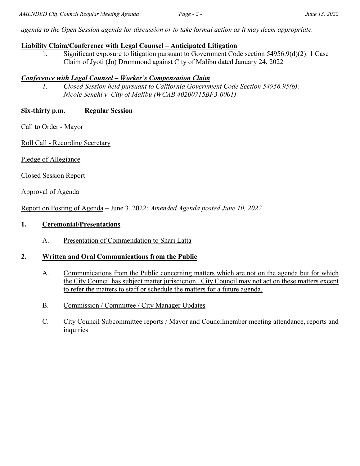*agenda to the Open Session agenda for discussion or to take formal action as it may deem appropriate.* 

## **Liability Claim/Conference with Legal Counsel – Anticipated Litigation**

1. Significant exposure to litigation pursuant to Government Code section 54956.9(d)(2): 1 Case Claim of Jyoti (Jo) Drummond against City of Malibu dated January 24, 2022

## *Conference with Legal Counsel – Worker's Compensation Claim*

*1. Closed Session held pursuant to California Government Code Section 54956.95(b): Nicole Senehi v. City of Malibu (WCAB 40200715BF3-0001)* 

## **Six-thirty p.m. Regular Session**

Call to Order - Mayor

Roll Call - Recording Secretary

Pledge of Allegiance

Closed Session Report

Approval of Agenda

Report on Posting of Agenda – June 3, 2022*; Amended Agenda posted June 10, 2022* 

#### **1. Ceremonial/Presentations**

A. Presentation of Commendation to Shari Latta

## **2. Written and Oral Communications from the Public**

- A. Communications from the Public concerning matters which are not on the agenda but for which the City Council has subject matter jurisdiction. City Council may not act on these matters except to refer the matters to staff or schedule the matters for a future agenda.
- B. Commission / Committee / City Manager Updates
- C. City Council Subcommittee reports / Mayor and Councilmember meeting attendance, reports and inquiries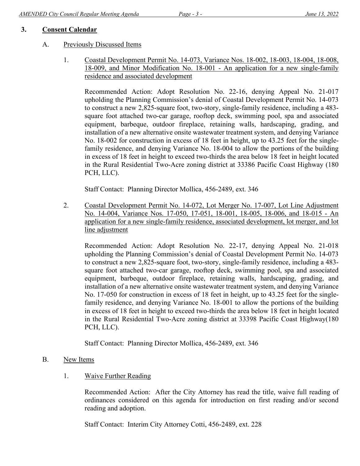## **3. Consent Calendar**

## A. Previously Discussed Items

1. Coastal Development Permit No. 14-073, Variance Nos. 18-002, 18-003, 18-004, 18-008, 18-009, and Minor Modification No. 18-001 - An application for a new single-family residence and associated development

Recommended Action: Adopt Resolution No. 22-16, denying Appeal No. 21-017 upholding the Planning Commission's denial of Coastal Development Permit No. 14-073 to construct a new 2,825-square foot, two-story, single-family residence, including a 483 square foot attached two-car garage, rooftop deck, swimming pool, spa and associated equipment, barbeque, outdoor fireplace, retaining walls, hardscaping, grading, and installation of a new alternative onsite wastewater treatment system, and denying Variance No. 18-002 for construction in excess of 18 feet in height, up to 43.25 feet for the singlefamily residence, and denying Variance No. 18-004 to allow the portions of the building in excess of 18 feet in height to exceed two-thirds the area below 18 feet in height located in the Rural Residential Two-Acre zoning district at 33386 Pacific Coast Highway (180 PCH, LLC).

Staff Contact: Planning Director Mollica, 456-2489, ext. 346

2. Coastal Development Permit No. 14-072, Lot Merger No. 17-007, Lot Line Adjustment No. 14-004, Variance Nos. 17-050, 17-051, 18-001, 18-005, 18-006, and 18-015 - An application for a new single-family residence, associated development, lot merger, and lot line adjustment

Recommended Action: Adopt Resolution No. 22-17, denying Appeal No. 21-018 upholding the Planning Commission's denial of Coastal Development Permit No. 14-073 to construct a new 2,825-square foot, two-story, single-family residence, including a 483 square foot attached two-car garage, rooftop deck, swimming pool, spa and associated equipment, barbeque, outdoor fireplace, retaining walls, hardscaping, grading, and installation of a new alternative onsite wastewater treatment system, and denying Variance No. 17-050 for construction in excess of 18 feet in height, up to 43.25 feet for the singlefamily residence, and denying Variance No. 18-001 to allow the portions of the building in excess of 18 feet in height to exceed two-thirds the area below 18 feet in height located in the Rural Residential Two-Acre zoning district at 33398 Pacific Coast Highway(180 PCH, LLC).

Staff Contact: Planning Director Mollica, 456-2489, ext. 346

- B. New Items
	- 1. Waive Further Reading

Recommended Action: After the City Attorney has read the title, waive full reading of ordinances considered on this agenda for introduction on first reading and/or second reading and adoption.

Staff Contact: Interim City Attorney Cotti, 456-2489, ext. 228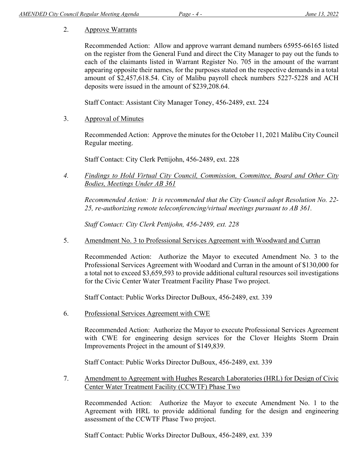## 2. Approve Warrants

Recommended Action: Allow and approve warrant demand numbers 65955-66165 listed on the register from the General Fund and direct the City Manager to pay out the funds to each of the claimants listed in Warrant Register No. 705 in the amount of the warrant appearing opposite their names, for the purposes stated on the respective demands in a total amount of \$2,457,618.54. City of Malibu payroll check numbers 5227-5228 and ACH deposits were issued in the amount of \$239,208.64.

Staff Contact: Assistant City Manager Toney, 456-2489, ext. 224

3. Approval of Minutes

Recommended Action: Approve the minutes for the October 11, 2021 Malibu City Council Regular meeting.

Staff Contact: City Clerk Pettijohn, 456-2489, ext. 228

*4. Findings to Hold Virtual City Council, Commission, Committee, Board and Other City Bodies, Meetings Under AB 361* 

*Recommended Action: It is recommended that the City Council adopt Resolution No. 22- 25, re-authorizing remote teleconferencing/virtual meetings pursuant to AB 361.* 

*Staff Contact: City Clerk Pettijohn, 456-2489, ext. 228* 

5. Amendment No. 3 to Professional Services Agreement with Woodward and Curran

Recommended Action: Authorize the Mayor to executed Amendment No. 3 to the Professional Services Agreement with Woodard and Curran in the amount of \$130,000 for a total not to exceed \$3,659,593 to provide additional cultural resources soil investigations for the Civic Center Water Treatment Facility Phase Two project.

Staff Contact: Public Works Director DuBoux, 456-2489, ext. 339

6. Professional Services Agreement with CWE

Recommended Action: Authorize the Mayor to execute Professional Services Agreement with CWE for engineering design services for the Clover Heights Storm Drain Improvements Project in the amount of \$149,839.

Staff Contact: Public Works Director DuBoux, 456-2489, ext. 339

7. Amendment to Agreement with Hughes Research Laboratories (HRL) for Design of Civic Center Water Treatment Facility (CCWTF) Phase Two

Recommended Action: Authorize the Mayor to execute Amendment No. 1 to the Agreement with HRL to provide additional funding for the design and engineering assessment of the CCWTF Phase Two project.

Staff Contact: Public Works Director DuBoux, 456-2489, ext. 339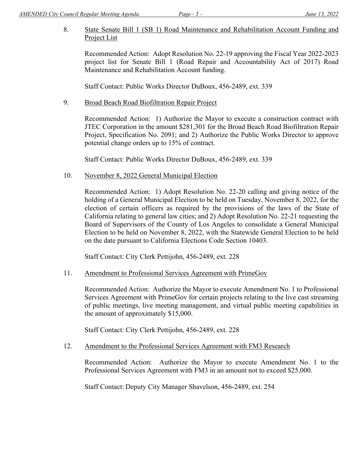8. State Senate Bill 1 (SB 1) Road Maintenance and Rehabilitation Account Funding and Project List

Recommended Action: Adopt Resolution No. 22-19 approving the Fiscal Year 2022-2023 project list for Senate Bill 1 (Road Repair and Accountability Act of 2017) Road Maintenance and Rehabilitation Account funding.

Staff Contact: Public Works Director DuBoux, 456-2489, ext. 339

9. Broad Beach Road Biofiltration Repair Project

Recommended Action: 1) Authorize the Mayor to execute a construction contract with JTEC Corporation in the amount \$281,301 for the Broad Beach Road Biofiltration Repair Project, Specification No. 2091; and 2) Authorize the Public Works Director to approve potential change orders up to 15% of contract.

Staff Contact: Public Works Director DuBoux, 456-2489, ext. 339

10. November 8, 2022 General Municipal Election

Recommended Action: 1) Adopt Resolution No. 22-20 calling and giving notice of the holding of a General Municipal Election to be held on Tuesday, November 8, 2022, for the election of certain officers as required by the provisions of the laws of the State of California relating to general law cities; and 2) Adopt Resolution No. 22-21 requesting the Board of Supervisors of the County of Los Angeles to consolidate a General Municipal Election to be held on November 8, 2022, with the Statewide General Election to be held on the date pursuant to California Elections Code Section 10403.

Staff Contact: City Clerk Pettijohn, 456-2489, ext. 228

11. Amendment to Professional Services Agreement with PrimeGov

Recommended Action: Authorize the Mayor to execute Amendment No. 1 to Professional Services Agreement with PrimeGov for certain projects relating to the live cast streaming of public meetings, live meeting management, and virtual public meeting capabilities in the amount of approximately \$15,000.

Staff Contact: City Clerk Pettijohn, 456-2489, ext. 228

12. Amendment to the Professional Services Agreement with FM3 Research

Recommended Action: Authorize the Mayor to execute Amendment No. 1 to the Professional Services Agreement with FM3 in an amount not to exceed \$25,000.

Staff Contact: Deputy City Manager Shavelson, 456-2489, ext. 254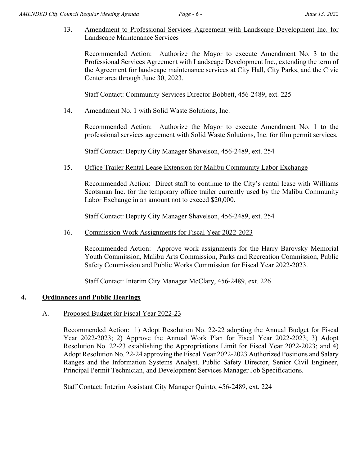13. Amendment to Professional Services Agreement with Landscape Development Inc. for Landscape Maintenance Services

Recommended Action: Authorize the Mayor to execute Amendment No. 3 to the Professional Services Agreement with Landscape Development Inc., extending the term of the Agreement for landscape maintenance services at City Hall, City Parks, and the Civic Center area through June 30, 2023.

Staff Contact: Community Services Director Bobbett, 456-2489, ext. 225

14. Amendment No. 1 with Solid Waste Solutions, Inc.

Recommended Action: Authorize the Mayor to execute Amendment No. 1 to the professional services agreement with Solid Waste Solutions, Inc. for film permit services.

Staff Contact: Deputy City Manager Shavelson, 456-2489, ext. 254

15. Office Trailer Rental Lease Extension for Malibu Community Labor Exchange

Recommended Action: Direct staff to continue to the City's rental lease with Williams Scotsman Inc. for the temporary office trailer currently used by the Malibu Community Labor Exchange in an amount not to exceed \$20,000.

Staff Contact: Deputy City Manager Shavelson, 456-2489, ext. 254

16. Commission Work Assignments for Fiscal Year 2022-2023

Recommended Action: Approve work assignments for the Harry Barovsky Memorial Youth Commission, Malibu Arts Commission, Parks and Recreation Commission, Public Safety Commission and Public Works Commission for Fiscal Year 2022-2023.

Staff Contact: Interim City Manager McClary, 456-2489, ext. 226

## **4. Ordinances and Public Hearings**

## A. Proposed Budget for Fiscal Year 2022-23

Recommended Action: 1) Adopt Resolution No. 22-22 adopting the Annual Budget for Fiscal Year 2022-2023; 2) Approve the Annual Work Plan for Fiscal Year 2022-2023; 3) Adopt Resolution No. 22-23 establishing the Appropriations Limit for Fiscal Year 2022-2023; and 4) Adopt Resolution No. 22-24 approving the Fiscal Year 2022-2023 Authorized Positions and Salary Ranges and the Information Systems Analyst, Public Safety Director, Senior Civil Engineer, Principal Permit Technician, and Development Services Manager Job Specifications.

Staff Contact: Interim Assistant City Manager Quinto, 456-2489, ext. 224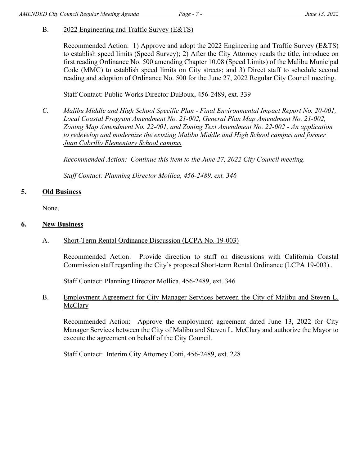## B. 2022 Engineering and Traffic Survey (E&TS)

Recommended Action: 1) Approve and adopt the 2022 Engineering and Traffic Survey (E&TS) to establish speed limits (Speed Survey); 2) After the City Attorney reads the title, introduce on first reading Ordinance No. 500 amending Chapter 10.08 (Speed Limits) of the Malibu Municipal Code (MMC) to establish speed limits on City streets; and 3) Direct staff to schedule second reading and adoption of Ordinance No. 500 for the June 27, 2022 Regular City Council meeting.

Staff Contact: Public Works Director DuBoux, 456-2489, ext. 339

*C. Malibu Middle and High School Specific Plan - Final Environmental Impact Report No. 20-001, Local Coastal Program Amendment No. 21-002, General Plan Map Amendment No. 21-002, Zoning Map Amendment No. 22-001, and Zoning Text Amendment No. 22-002 - An application to redevelop and modernize the existing Malibu Middle and High School campus and former Juan Cabrillo Elementary School campus* 

*Recommended Action: Continue this item to the June 27, 2022 City Council meeting.* 

*Staff Contact: Planning Director Mollica, 456-2489, ext. 346* 

#### **5. Old Business**

None.

#### **6. New Business**

A. Short-Term Rental Ordinance Discussion (LCPA No. 19-003)

Recommended Action: Provide direction to staff on discussions with California Coastal Commission staff regarding the City's proposed Short-term Rental Ordinance (LCPA 19-003)..

Staff Contact: Planning Director Mollica, 456-2489, ext. 346

B. Employment Agreement for City Manager Services between the City of Malibu and Steven L. **McClary** 

Recommended Action: Approve the employment agreement dated June 13, 2022 for City Manager Services between the City of Malibu and Steven L. McClary and authorize the Mayor to execute the agreement on behalf of the City Council.

Staff Contact: Interim City Attorney Cotti, 456-2489, ext. 228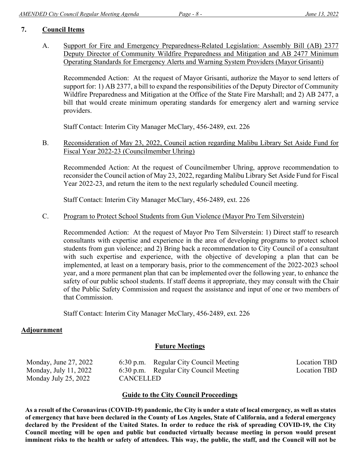## **7. Council Items**

A. Support for Fire and Emergency Preparedness-Related Legislation: Assembly Bill (AB) 2377 Deputy Director of Community Wildfire Preparedness and Mitigation and AB 2477 Minimum Operating Standards for Emergency Alerts and Warning System Providers (Mayor Grisanti)

Recommended Action: At the request of Mayor Grisanti, authorize the Mayor to send letters of support for: 1) AB 2377, a bill to expand the responsibilities of the Deputy Director of Community Wildfire Preparedness and Mitigation at the Office of the State Fire Marshall; and 2) AB 2477, a bill that would create minimum operating standards for emergency alert and warning service providers.

Staff Contact: Interim City Manager McClary, 456-2489, ext. 226

B. Reconsideration of May 23, 2022, Council action regarding Malibu Library Set Aside Fund for Fiscal Year 2022-23 (Councilmember Uhring)

Recommended Action: At the request of Councilmember Uhring, approve recommendation to reconsider the Council action of May 23, 2022, regarding Malibu Library Set Aside Fund for Fiscal Year 2022-23, and return the item to the next regularly scheduled Council meeting.

Staff Contact: Interim City Manager McClary, 456-2489, ext. 226

#### C. Program to Protect School Students from Gun Violence (Mayor Pro Tem Silverstein)

Recommended Action: At the request of Mayor Pro Tem Silverstein: 1) Direct staff to research consultants with expertise and experience in the area of developing programs to protect school students from gun violence; and 2) Bring back a recommendation to City Council of a consultant with such expertise and experience, with the objective of developing a plan that can be implemented, at least on a temporary basis, prior to the commencement of the 2022-2023 school year, and a more permanent plan that can be implemented over the following year, to enhance the safety of our public school students. If staff deems it appropriate, they may consult with the Chair of the Public Safety Commission and request the assistance and input of one or two members of that Commission.

Staff Contact: Interim City Manager McClary, 456-2489, ext. 226

## **Adjournment**

## **Future Meetings**

| Monday, June 27, 2022 |                  | 6:30 p.m. Regular City Council Meeting | Location TBD |
|-----------------------|------------------|----------------------------------------|--------------|
| Monday, July 11, 2022 |                  | 6:30 p.m. Regular City Council Meeting | Location TBD |
| Monday July 25, 2022  | <b>CANCELLED</b> |                                        |              |

## **Guide to the City Council Proceedings**

**As a result of the Coronavirus (COVID-19) pandemic, the City is under a state of local emergency, as well as states of emergency that have been declared in the County of Los Angeles, State of California, and a federal emergency declared by the President of the United States. In order to reduce the risk of spreading COVID-19, the City Council meeting will be open and public but conducted virtually because meeting in person would present imminent risks to the health or safety of attendees. This way, the public, the staff, and the Council will not be**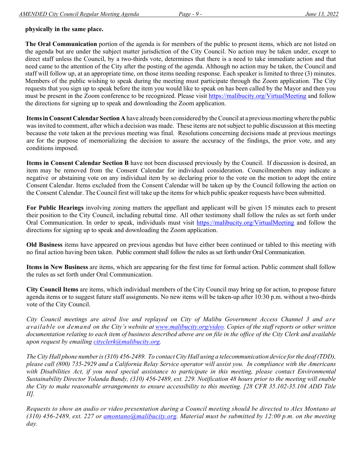#### **physically in the same place.**

**The Oral Communication** portion of the agenda is for members of the public to present items, which are not listed on the agenda but are under the subject matter jurisdiction of the City Council. No action may be taken under, except to direct staff unless the Council, by a two-thirds vote, determines that there is a need to take immediate action and that need came to the attention of the City after the posting of the agenda. Although no action may be taken, the Council and staff will follow up, at an appropriate time, on those items needing response. Each speaker is limited to three (3) minutes. Members of the public wishing to speak during the meeting must participate through the Zoom application. The City requests that you sign up to speak before the item you would like to speak on has been called by the Mayor and then you must be present in the Zoom conference to be recognized. Please visit https://malibucity.org/VirtualMeeting and follow the directions for signing up to speak and downloading the Zoom application.

**Items in Consent Calendar Section A** have already been considered by the Council at a previous meeting where the public was invited to comment, after which a decision was made. These items are not subject to public discussion at this meeting because the vote taken at the previous meeting was final. Resolutions concerning decisions made at previous meetings are for the purpose of memorializing the decision to assure the accuracy of the findings, the prior vote, and any conditions imposed.

**Items in Consent Calendar Section B** have not been discussed previously by the Council. If discussion is desired, an item may be removed from the Consent Calendar for individual consideration. Councilmembers may indicate a negative or abstaining vote on any individual item by so declaring prior to the vote on the motion to adopt the entire Consent Calendar. Items excluded from the Consent Calendar will be taken up by the Council following the action on the Consent Calendar. The Council first will take up the items for which public speaker requests have been submitted.

**For Public Hearings** involving zoning matters the appellant and applicant will be given 15 minutes each to present their position to the City Council, including rebuttal time. All other testimony shall follow the rules as set forth under Oral Communication. In order to speak, individuals must visit https://malibucity.org/VirtualMeeting and follow the directions for signing up to speak and downloading the Zoom application.

**Old Business** items have appeared on previous agendas but have either been continued or tabled to this meeting with no final action having been taken. Public comment shall follow the rules as set forth under Oral Communication.

**Items in New Business** are items, which are appearing for the first time for formal action. Public comment shall follow the rules as set forth under Oral Communication.

**City Council Items** are items, which individual members of the City Council may bring up for action, to propose future agenda items or to suggest future staff assignments. No new items will be taken-up after 10:30 p.m. without a two-thirds vote of the City Council.

*City Council meetings are aired live and replayed on City of Malibu Government Access Channel 3 and are available on demand on the City's website at www.malibucity.org/video. Copies of the staff reports or other written documentation relating to each item of business described above are on file in the office of the City Clerk and available upon request by emailing cityclerk@malibucity.org.* 

*The City Hall phone number is (310) 456-2489. To contact City Hall using a telecommunication device for the deaf (TDD), please call (800) 735-2929 and a California Relay Service operator will assist you. In compliance with the Americans with Disabilities Act, if you need special assistance to participate in this meeting, please contact Environmental Sustainability Director Yolanda Bundy, (310) 456-2489, ext. 229. Notification 48 hours prior to the meeting will enable the City to make reasonable arrangements to ensure accessibility to this meeting. [28 CFR 35.102-35.104 ADD Title II].* 

*Requests to show an audio or video presentation during a Council meeting should be directed to Alex Montano at (310) 456-2489, ext. 227 or amontano@malibucity.org. Material must be submitted by 12:00 p.m. on the meeting day.*